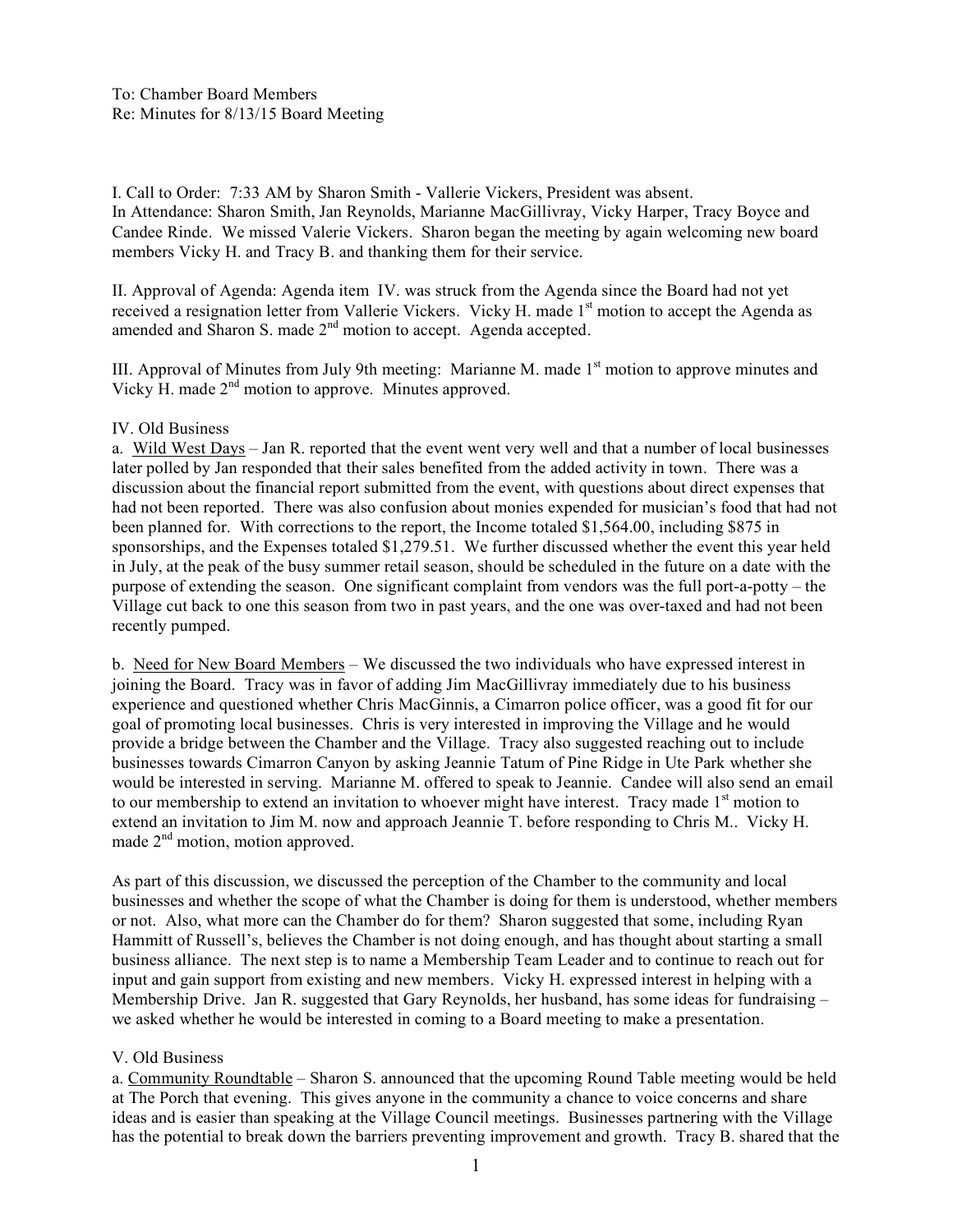I. Call to Order: 7:33 AM by Sharon Smith - Vallerie Vickers, President was absent. In Attendance: Sharon Smith, Jan Reynolds, Marianne MacGillivray, Vicky Harper, Tracy Boyce and Candee Rinde. We missed Valerie Vickers. Sharon began the meeting by again welcoming new board members Vicky H. and Tracy B. and thanking them for their service.

II. Approval of Agenda: Agenda item IV. was struck from the Agenda since the Board had not yet received a resignation letter from Vallerie Vickers. Vicky H. made 1<sup>st</sup> motion to accept the Agenda as amended and Sharon S. made 2nd motion to accept. Agenda accepted.

III. Approval of Minutes from July 9th meeting: Marianne M. made  $1<sup>st</sup>$  motion to approve minutes and Vicky H. made  $2<sup>nd</sup>$  motion to approve. Minutes approved.

### IV. Old Business

a. Wild West Days – Jan R. reported that the event went very well and that a number of local businesses later polled by Jan responded that their sales benefited from the added activity in town. There was a discussion about the financial report submitted from the event, with questions about direct expenses that had not been reported. There was also confusion about monies expended for musician's food that had not been planned for. With corrections to the report, the Income totaled \$1,564.00, including \$875 in sponsorships, and the Expenses totaled \$1,279.51. We further discussed whether the event this year held in July, at the peak of the busy summer retail season, should be scheduled in the future on a date with the purpose of extending the season. One significant complaint from vendors was the full port-a-potty – the Village cut back to one this season from two in past years, and the one was over-taxed and had not been recently pumped.

b. Need for New Board Members – We discussed the two individuals who have expressed interest in joining the Board. Tracy was in favor of adding Jim MacGillivray immediately due to his business experience and questioned whether Chris MacGinnis, a Cimarron police officer, was a good fit for our goal of promoting local businesses. Chris is very interested in improving the Village and he would provide a bridge between the Chamber and the Village. Tracy also suggested reaching out to include businesses towards Cimarron Canyon by asking Jeannie Tatum of Pine Ridge in Ute Park whether she would be interested in serving. Marianne M. offered to speak to Jeannie. Candee will also send an email to our membership to extend an invitation to whoever might have interest. Tracy made  $1<sup>st</sup>$  motion to extend an invitation to Jim M. now and approach Jeannie T. before responding to Chris M.. Vicky H. made 2<sup>nd</sup> motion, motion approved.

As part of this discussion, we discussed the perception of the Chamber to the community and local businesses and whether the scope of what the Chamber is doing for them is understood, whether members or not. Also, what more can the Chamber do for them? Sharon suggested that some, including Ryan Hammitt of Russell's, believes the Chamber is not doing enough, and has thought about starting a small business alliance. The next step is to name a Membership Team Leader and to continue to reach out for input and gain support from existing and new members. Vicky H. expressed interest in helping with a Membership Drive. Jan R. suggested that Gary Reynolds, her husband, has some ideas for fundraising – we asked whether he would be interested in coming to a Board meeting to make a presentation.

### V. Old Business

a. Community Roundtable – Sharon S. announced that the upcoming Round Table meeting would be held at The Porch that evening. This gives anyone in the community a chance to voice concerns and share ideas and is easier than speaking at the Village Council meetings. Businesses partnering with the Village has the potential to break down the barriers preventing improvement and growth. Tracy B. shared that the